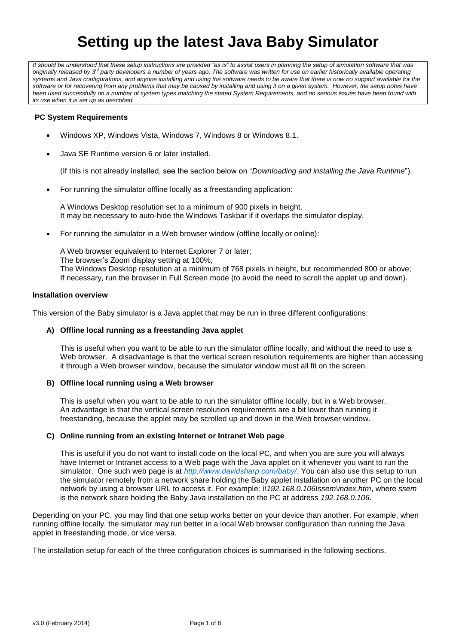# **Setting up the latest Java Baby Simulator**

It should be understood that these setup instructions are provided "as is" to assist users in planning the setup of simulation software that was<br>originally released by 3<sup>d</sup> party developers a number of years ago. The softw *systems and Java configurations, and anyone installing and using the software needs to be aware that there is now no support available for the*  software or for recovering from any problems that may be caused by installing and using it on a given system. However, the setup notes have *been used successfully on a number of system types matching the stated System Requirements, and no serious issues have been found with its use when it is set up as described.*

## **PC System Requirements**

- Windows XP, Windows Vista, Windows 7, Windows 8 or Windows 8.1.
- Java SE Runtime version 6 or later installed.

(If this is not already installed, see the section below on "*Downloading and installing the Java Runtime*").

For running the simulator offline locally as a freestanding application:

A Windows Desktop resolution set to a minimum of 900 pixels in height. It may be necessary to auto-hide the Windows Taskbar if it overlaps the simulator display.

For running the simulator in a Web browser window (offline locally or online):

A Web browser equivalent to Internet Explorer 7 or later; The browser's Zoom display setting at 100%; The Windows Desktop resolution at a minimum of 768 pixels in height, but recommended 800 or above; If necessary, run the browser in Full Screen mode (to avoid the need to scroll the applet up and down).

## **Installation overview**

This version of the Baby simulator is a Java applet that may be run in three different configurations:

## **A) Offline local running as a freestanding Java applet**

This is useful when you want to be able to run the simulator offline locally, and without the need to use a Web browser. A disadvantage is that the vertical screen resolution requirements are higher than accessing it through a Web browser window, because the simulator window must all fit on the screen.

## **B) Offline local running using a Web browser**

This is useful when you want to be able to run the simulator offline locally, but in a Web browser. An advantage is that the vertical screen resolution requirements are a bit lower than running it freestanding, because the applet may be scrolled up and down in the Web browser window.

## **C) Online running from an existing Internet or Intranet Web page**

This is useful if you do not want to install code on the local PC, and when you are sure you will always have Internet or Intranet access to a Web page with the Java applet on it whenever you want to run the simulator. One such web page is at *<http://www.davidsharp.com/baby/>*. You can also use this setup to run the simulator remotely from a network share holding the Baby applet installation on another PC on the local network by using a browser URL to access it. For example: *\\192.168.0.106\ssem\index.htm*, where *ssem* is the network share holding the Baby Java installation on the PC at address *192.168.0.106*.

Depending on your PC, you may find that one setup works better on your device than another. For example, when running offline locally, the simulator may run better in a local Web browser configuration than running the Java applet in freestanding mode, or vice versa.

The installation setup for each of the three configuration choices is summarised in the following sections.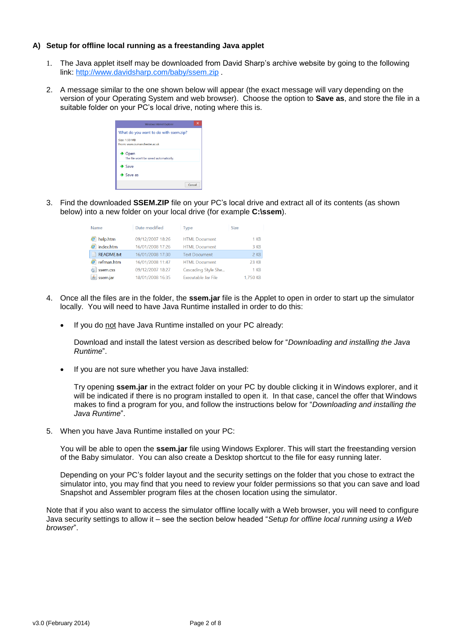## **A) Setup for offline local running as a freestanding Java applet**

- 1. The Java applet itself may be downloaded from David Sharp's archive website by going to the following link: <http://www.davidsharp.com/baby/ssem.zip> .
- 2. A message similar to the one shown below will appear (the exact message will vary depending on the version of your Operating System and web browser). Choose the option to **Save as**, and store the file in a suitable folder on your PC's local drive, noting where this is.

| Windows Internet Explorer                                    |        |  |
|--------------------------------------------------------------|--------|--|
| What do you want to do with ssem.zip?                        |        |  |
| Size: 1.59 MB<br>From: www.cs.manchester.ac.uk               |        |  |
| $\rightarrow$ Open<br>The file won't be saved automatically. |        |  |
| $\rightarrow$ Save                                           |        |  |
| $\bullet$ Save as                                            |        |  |
|                                                              | Cancel |  |

3. Find the downloaded **SSEM.ZIP** file on your PC's local drive and extract all of its contents (as shown below) into a new folder on your local drive (for example **C:\ssem**).

| Name                  | Date modified    | <b>Type</b>          | <b>Size</b> |
|-----------------------|------------------|----------------------|-------------|
| $\bullet$ help.htm    | 09/12/2007 18:26 | <b>HTML Document</b> | $1$ KB      |
| ndex.htm              | 16/01/2008 17:26 | <b>HTML Document</b> | 3 KB        |
| README.txt            | 16/01/2008 17:30 | <b>Text Document</b> | $2$ KB      |
| $\epsilon$ refman.htm | 16/01/2008 11:47 | <b>HTML Document</b> | 23 KB       |
| Ssem.css              | 09/12/2007 18:27 | Cascading Style She  | $1$ KB      |
| ssem.jar              | 18/01/2008 16:35 | Executable Jar File  | 1,750 KB    |

- 4. Once all the files are in the folder, the **ssem.jar** file is the Applet to open in order to start up the simulator locally. You will need to have Java Runtime installed in order to do this:
	- If you do not have Java Runtime installed on your PC already:

Download and install the latest version as described below for "*Downloading and installing the Java Runtime*".

If you are not sure whether you have Java installed:

Try opening **ssem.jar** in the extract folder on your PC by double clicking it in Windows explorer, and it will be indicated if there is no program installed to open it. In that case, cancel the offer that Windows makes to find a program for you, and follow the instructions below for "*Downloading and installing the Java Runtime*".

5. When you have Java Runtime installed on your PC:

You will be able to open the **ssem.jar** file using Windows Explorer. This will start the freestanding version of the Baby simulator. You can also create a Desktop shortcut to the file for easy running later.

Depending on your PC's folder layout and the security settings on the folder that you chose to extract the simulator into, you may find that you need to review your folder permissions so that you can save and load Snapshot and Assembler program files at the chosen location using the simulator.

Note that if you also want to access the simulator offline locally with a Web browser, you will need to configure Java security settings to allow it – see the section below headed "*Setup for offline local running using a Web browser*".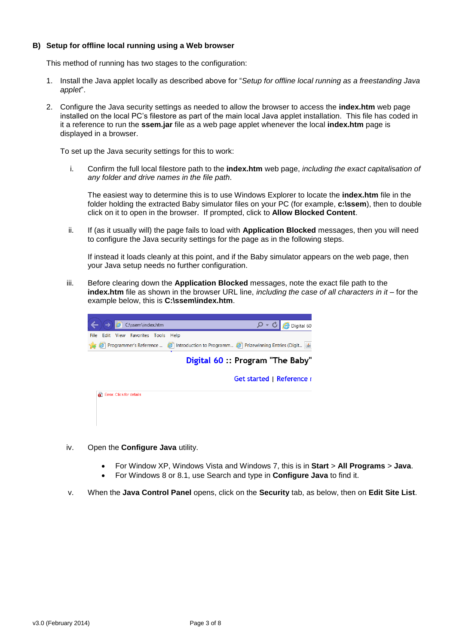## **B) Setup for offline local running using a Web browser**

This method of running has two stages to the configuration:

- 1. Install the Java applet locally as described above for "*Setup for offline local running as a freestanding Java applet*".
- 2. Configure the Java security settings as needed to allow the browser to access the **index.htm** web page installed on the local PC's filestore as part of the main local Java applet installation. This file has coded in it a reference to run the **ssem.jar** file as a web page applet whenever the local **index.htm** page is displayed in a browser.

To set up the Java security settings for this to work:

i. Confirm the full local filestore path to the **index.htm** web page, *including the exact capitalisation of any folder and drive names in the file path*.

The easiest way to determine this is to use Windows Explorer to locate the **index.htm** file in the folder holding the extracted Baby simulator files on your PC (for example, **c:\ssem**), then to double click on it to open in the browser. If prompted, click to **Allow Blocked Content**.

ii. If (as it usually will) the page fails to load with **Application Blocked** messages, then you will need to configure the Java security settings for the page as in the following steps.

If instead it loads cleanly at this point, and if the Baby simulator appears on the web page, then your Java setup needs no further configuration.

iii. Before clearing down the **Application Blocked** messages, note the exact file path to the **index.htm** file as shown in the browser URL line, *including the case of all characters in it* – for the example below, this is **C:\ssem\index.htm**.



- iv. Open the **Configure Java** utility.
	- For Window XP, Windows Vista and Windows 7, this is in **Start** > **All Programs** > **Java**.
	- For Windows 8 or 8.1, use Search and type in **Configure Java** to find it.
- v. When the **Java Control Panel** opens, click on the **Security** tab, as below, then on **Edit Site List**.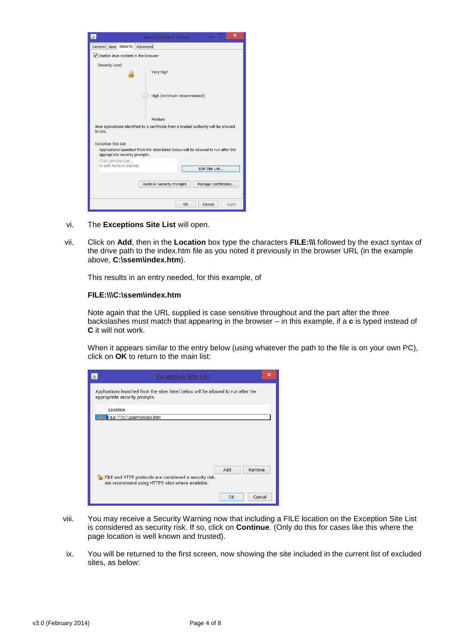| ×<br>Java Control Panel                                                                                                                           |  |  |
|---------------------------------------------------------------------------------------------------------------------------------------------------|--|--|
| General Java Security Advanced                                                                                                                    |  |  |
| Enable Java content in the browser                                                                                                                |  |  |
| <b>Security Level</b>                                                                                                                             |  |  |
| - Very High<br>m                                                                                                                                  |  |  |
| High (minimum recommended)                                                                                                                        |  |  |
| - Medium                                                                                                                                          |  |  |
| Java applications identified by a certificate from a trusted authority will be allowed<br>to run.                                                 |  |  |
| <b>Exception Site List</b><br>Applications launched from the sites listed below will be allowed to run after the<br>appropriate security prompts. |  |  |
| Click Edit Site List<br>to add items to this list.<br>Edit Site List                                                                              |  |  |
| <b>Restore Security Prompts</b><br>Manage Certificates                                                                                            |  |  |
| OK<br>Cancel<br>Apply                                                                                                                             |  |  |

- vi. The **Exceptions Site List** will open.
- vii. Click on **Add**, then in the **Location** box type the characters **FILE:\\\** followed by the exact syntax of the drive path to the index.htm file as you noted it previously in the browser URL (in the example above, **C:\ssem\index.htm**).

This results in an entry needed, for this example, of

#### **FILE:\\\C:\ssem\index.htm**

Note again that the URL supplied is case sensitive throughout and the part after the three backslashes must match that appearing in the browser – in this example, if a **c** is typed instead of **C** it will not work.

When it appears similar to the entry below (using whatever the path to the file is on your own PC), click on **OK** to return to the main list:

| <b>Exception Site List</b>                                                                                          |               | × |
|---------------------------------------------------------------------------------------------------------------------|---------------|---|
| Applications launched from the sites listed below will be allowed to run after the<br>appropriate security prompts. |               |   |
| Location<br>FILE:\\\C:\ssem\index.htm                                                                               |               |   |
|                                                                                                                     |               |   |
|                                                                                                                     |               |   |
| m <sub>-</sub><br>FILE and HTTP protocols are considered a security risk.                                           | Add<br>Remove |   |
| We recommend using HTTPS sites where available.                                                                     |               |   |
|                                                                                                                     | Cancel<br>OK  |   |

- viii. You may receive a Security Warning now that including a FILE location on the Exception Site List is considered as security risk. If so, click on **Continue**. (Only do this for cases like this where the page location is well known and trusted).
- ix. You will be returned to the first screen, now showing the site included in the current list of excluded sites, as below: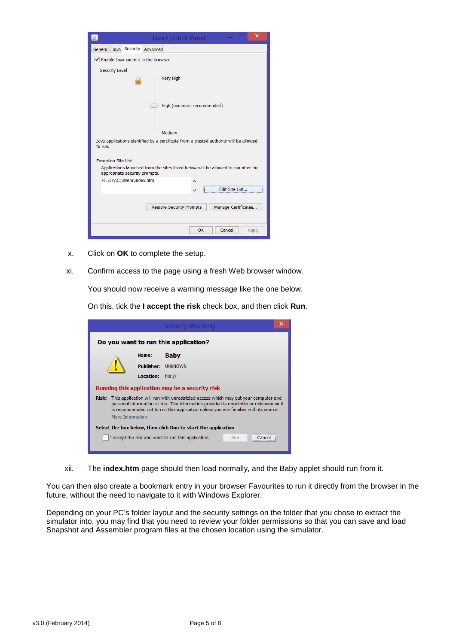| ×<br>Java Control Panel                                                                                             |  |  |
|---------------------------------------------------------------------------------------------------------------------|--|--|
| General Java Security Advanced                                                                                      |  |  |
| Enable Java content in the browser                                                                                  |  |  |
| <b>Security Level</b><br>- Very High                                                                                |  |  |
| High (minimum recommended)                                                                                          |  |  |
| - Medium                                                                                                            |  |  |
| Java applications identified by a certificate from a trusted authority will be allowed<br>to run.                   |  |  |
| <b>Exception Site List</b>                                                                                          |  |  |
| Applications launched from the sites listed below will be allowed to run after the<br>appropriate security prompts. |  |  |
| FILE:\\\C:\ssem\index.htm<br>Edit Site List                                                                         |  |  |
| <b>Restore Security Prompts</b><br>Manage Certificates                                                              |  |  |
| OK<br>Cancel<br>Apply                                                                                               |  |  |

- x. Click on **OK** to complete the setup.
- xi. Confirm access to the page using a fresh Web browser window.

You should now receive a warning message like the one below.

On this, tick the **I accept the risk** check box, and then click **Run**.

|                                                                                                                                                                                                                                                                                                |  |                   | <b>Security Warning</b>                                    | × |
|------------------------------------------------------------------------------------------------------------------------------------------------------------------------------------------------------------------------------------------------------------------------------------------------|--|-------------------|------------------------------------------------------------|---|
| Do you want to run this application?                                                                                                                                                                                                                                                           |  |                   |                                                            |   |
|                                                                                                                                                                                                                                                                                                |  | Name:             | <b>Baby</b>                                                |   |
|                                                                                                                                                                                                                                                                                                |  | <b>Publisher:</b> | <b>LINKNOWN</b>                                            |   |
|                                                                                                                                                                                                                                                                                                |  | <b>Location:</b>  | file://                                                    |   |
| Running this application may be a security risk                                                                                                                                                                                                                                                |  |                   |                                                            |   |
| This application will run with unrestricted access which may put your computer and<br>Risk:<br>personal information at risk. The information provided is unreliable or unknown so it<br>is recommended not to run this application unless you are familiar with its source<br>More Information |  |                   |                                                            |   |
| Select the box below, then click Run to start the application                                                                                                                                                                                                                                  |  |                   |                                                            |   |
|                                                                                                                                                                                                                                                                                                |  |                   | I accept the risk and want to run this application.<br>Run |   |

xii. The **index.htm** page should then load normally, and the Baby applet should run from it.

You can then also create a bookmark entry in your browser Favourites to run it directly from the browser in the future, without the need to navigate to it with Windows Explorer.

Depending on your PC's folder layout and the security settings on the folder that you chose to extract the simulator into, you may find that you need to review your folder permissions so that you can save and load Snapshot and Assembler program files at the chosen location using the simulator.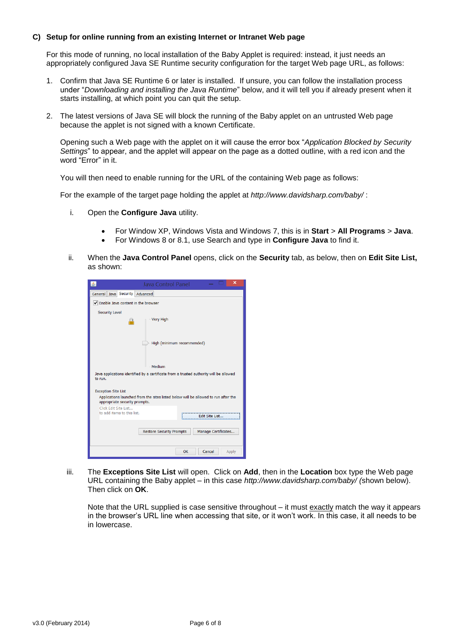## **C) Setup for online running from an existing Internet or Intranet Web page**

For this mode of running, no local installation of the Baby Applet is required: instead, it just needs an appropriately configured Java SE Runtime security configuration for the target Web page URL, as follows:

- 1. Confirm that Java SE Runtime 6 or later is installed. If unsure, you can follow the installation process under "*Downloading and installing the Java Runtime*" below, and it will tell you if already present when it starts installing, at which point you can quit the setup.
- 2. The latest versions of Java SE will block the running of the Baby applet on an untrusted Web page because the applet is not signed with a known Certificate.

Opening such a Web page with the applet on it will cause the error box "*Application Blocked by Security Settings*" to appear, and the applet will appear on the page as a dotted outline, with a red icon and the word "Error" in it.

You will then need to enable running for the URL of the containing Web page as follows:

For the example of the target page holding the applet at *<http://www.davidsharp.com/baby/>* :

- i. Open the **Configure Java** utility.
	- For Window XP, Windows Vista and Windows 7, this is in **Start** > **All Programs** > **Java**.
	- For Windows 8 or 8.1, use Search and type in **Configure Java** to find it.
- ii. When the **Java Control Panel** opens, click on the **Security** tab, as below, then on **Edit Site List,** as shown:

| ×<br>Java Control Panel                                                                                             |  |  |
|---------------------------------------------------------------------------------------------------------------------|--|--|
| General Java Security Advanced                                                                                      |  |  |
| ✔ Enable Java content in the browser                                                                                |  |  |
| <b>Security Level</b>                                                                                               |  |  |
| - Very High<br>m                                                                                                    |  |  |
| High (minimum recommended)                                                                                          |  |  |
| - Medium                                                                                                            |  |  |
| Java applications identified by a certificate from a trusted authority will be allowed<br>to run.                   |  |  |
| <b>Exception Site List</b>                                                                                          |  |  |
| Applications launched from the sites listed below will be allowed to run after the<br>appropriate security prompts. |  |  |
| Click Edit Site List<br>to add items to this list.<br>Edit Site List                                                |  |  |
| <b>Restore Security Prompts</b><br>Manage Certificates                                                              |  |  |
| OK<br>Cancel<br>Apply                                                                                               |  |  |

iii. The **Exceptions Site List** will open. Click on **Add**, then in the **Location** box type the Web page URL containing the Baby applet – in this case *<http://www.davidsharp.com/baby/> (*shown below). Then click on **OK**.

Note that the URL supplied is case sensitive throughout – it must exactly match the way it appears in the browser's URL line when accessing that site, or it won't work. In this case, it all needs to be in lowercase.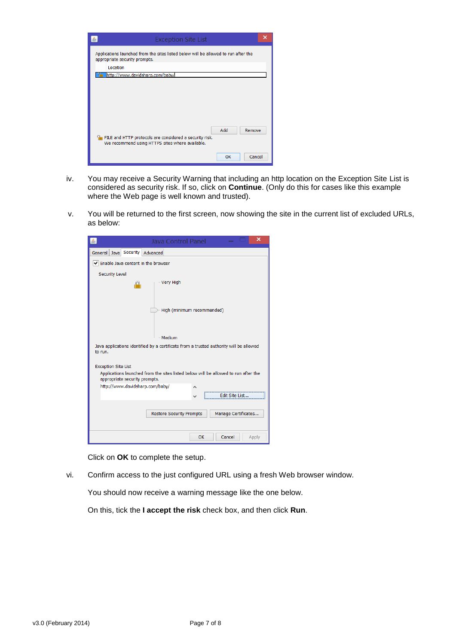

- iv. You may receive a Security Warning that including an http location on the Exception Site List is considered as security risk. If so, click on **Continue**. (Only do this for cases like this example where the Web page is well known and trusted).
- v. You will be returned to the first screen, now showing the site in the current list of excluded URLs, as below:

|                                                                                                   | ×<br>Java Control Panel                                                            |  |
|---------------------------------------------------------------------------------------------------|------------------------------------------------------------------------------------|--|
| General Java Security Advanced                                                                    |                                                                                    |  |
| Enable Java content in the browser                                                                |                                                                                    |  |
| <b>Security Level</b><br>m                                                                        | - Very High                                                                        |  |
|                                                                                                   | High (minimum recommended)                                                         |  |
|                                                                                                   | Medium                                                                             |  |
| Java applications identified by a certificate from a trusted authority will be allowed<br>to run. |                                                                                    |  |
| <b>Exception Site List</b>                                                                        |                                                                                    |  |
| appropriate security prompts.                                                                     | Applications launched from the sites listed below will be allowed to run after the |  |
| http://www.davidsharp.com/baby/                                                                   |                                                                                    |  |
|                                                                                                   | Fdit Site List.                                                                    |  |
|                                                                                                   | Manage Certificates<br><b>Restore Security Prompts</b>                             |  |
|                                                                                                   | OK<br>Cancel<br>Apply                                                              |  |

Click on **OK** to complete the setup.

vi. Confirm access to the just configured URL using a fresh Web browser window.

You should now receive a warning message like the one below.

On this, tick the **I accept the risk** check box, and then click **Run**.